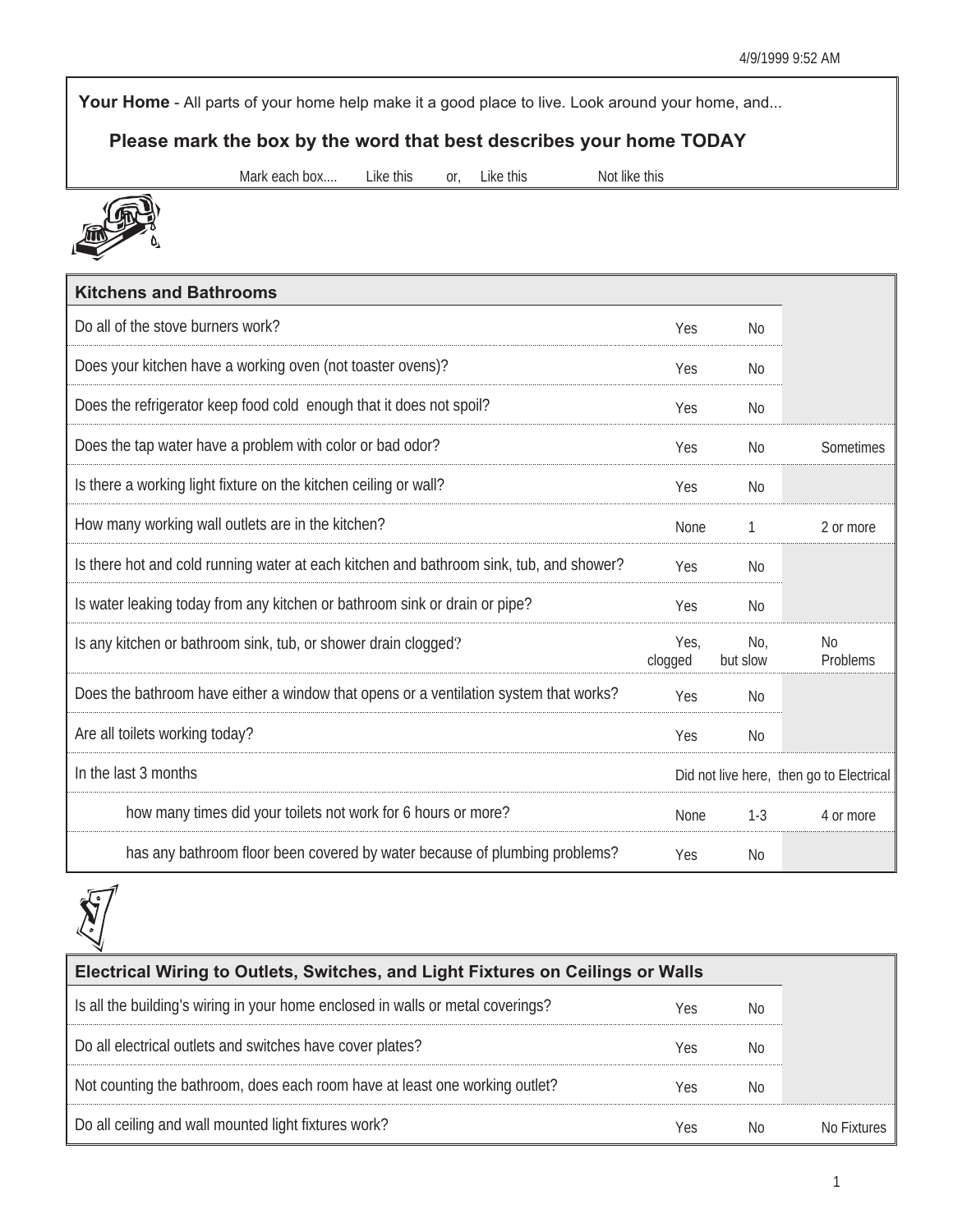Your Home - All parts of your home help make it a good place to live. Look around your home, and...

## **Please mark the box by the word that best describes your home TODAY**

Mark each box.... Like this or, Like this Not like this



| <b>Kitchens and Bathrooms</b>                                                           |                 |                 |                                          |
|-----------------------------------------------------------------------------------------|-----------------|-----------------|------------------------------------------|
| Do all of the stove burners work?                                                       | Yes             | No              |                                          |
| Does your kitchen have a working oven (not toaster ovens)?                              | Yes             | N <sub>0</sub>  |                                          |
| Does the refrigerator keep food cold enough that it does not spoil?                     | Yes             | N <sub>0</sub>  |                                          |
| Does the tap water have a problem with color or bad odor?                               | Yes             | N <sub>0</sub>  | Sometimes                                |
| Is there a working light fixture on the kitchen ceiling or wall?                        | Yes             | N <sub>0</sub>  |                                          |
| How many working wall outlets are in the kitchen?                                       | None            | 1               | 2 or more                                |
| Is there hot and cold running water at each kitchen and bathroom sink, tub, and shower? | Yes             | N <sub>0</sub>  |                                          |
| Is water leaking today from any kitchen or bathroom sink or drain or pipe?              | Yes             | N <sub>0</sub>  |                                          |
| Is any kitchen or bathroom sink, tub, or shower drain clogged?                          | Yes.<br>clogged | No,<br>but slow | N <sub>0</sub><br>Problems               |
| Does the bathroom have either a window that opens or a ventilation system that works?   | Yes             | No              |                                          |
| Are all toilets working today?                                                          | Yes             | No              |                                          |
| In the last 3 months                                                                    |                 |                 | Did not live here, then go to Electrical |
| how many times did your toilets not work for 6 hours or more?                           | None            | $1-3$           | 4 or more                                |
| has any bathroom floor been covered by water because of plumbing problems?              | Yes             | <b>No</b>       |                                          |



| Electrical Wiring to Outlets, Switches, and Light Fixtures on Ceilings or Walls |     |     |  |  |  |  |
|---------------------------------------------------------------------------------|-----|-----|--|--|--|--|
| Is all the building's wiring in your home enclosed in walls or metal coverings? | Yes | N0  |  |  |  |  |
| Do all electrical outlets and switches have cover plates?                       | Yes | N0  |  |  |  |  |
| Not counting the bathroom, does each room have at least one working outlet?     | Yes | N0  |  |  |  |  |
| Do all ceiling and wall mounted light fixtures work?                            | Yes | No. |  |  |  |  |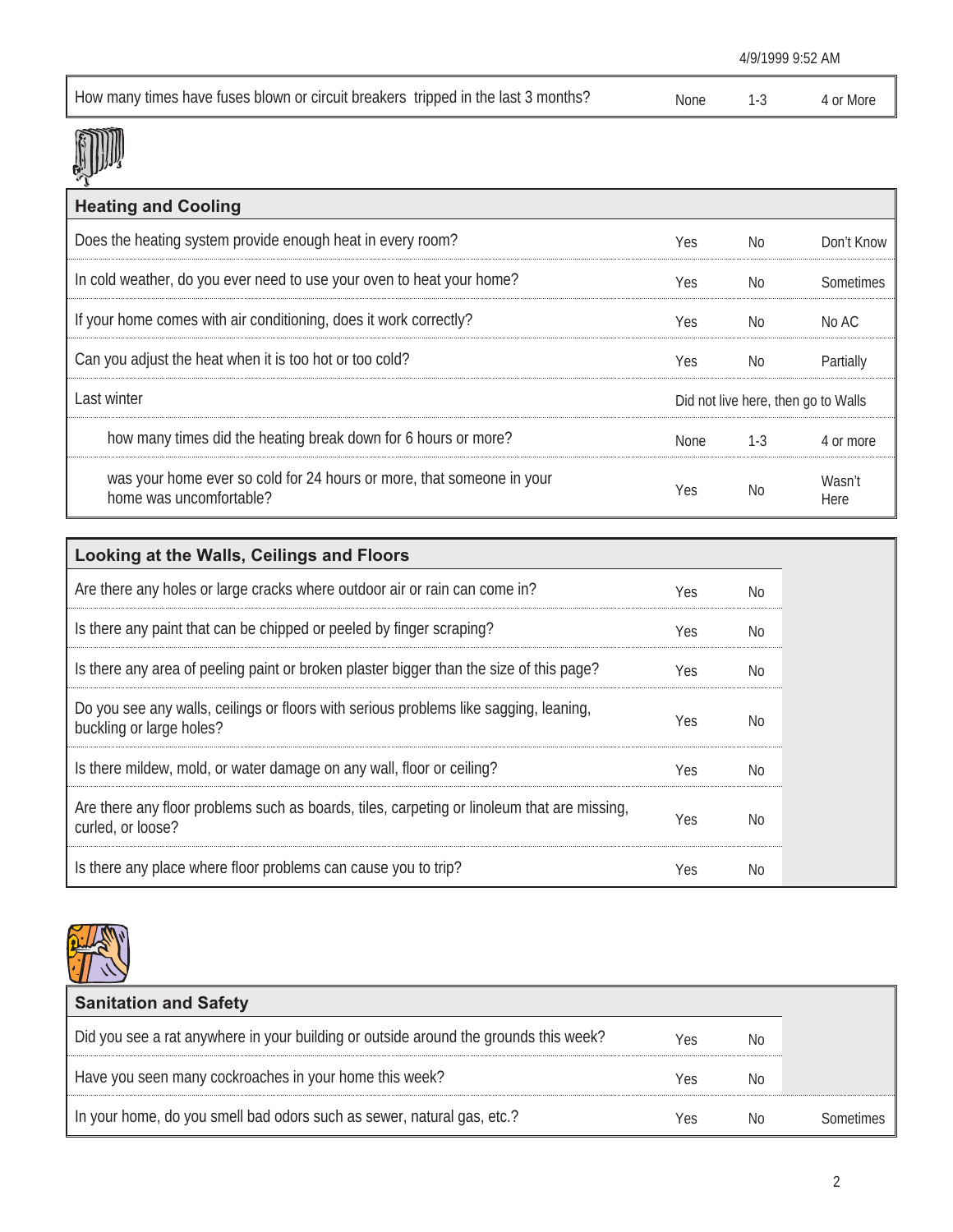|                                                                                   | 4/9/1999 9:52 AM |     |           |
|-----------------------------------------------------------------------------------|------------------|-----|-----------|
| How many times have fuses blown or circuit breakers tripped in the last 3 months? | <b>None</b>      | 1-3 | 4 or More |

## **JIJ**

| <b>Heating and Cooling</b>                                                                       |                                     |         |                |
|--------------------------------------------------------------------------------------------------|-------------------------------------|---------|----------------|
| Does the heating system provide enough heat in every room?                                       | Yes.                                | No.     | Don't Know     |
| In cold weather, do you ever need to use your oven to heat your home?                            | Yes.                                | No.     | Sometimes      |
| If your home comes with air conditioning, does it work correctly?                                | Yes.                                | No.     | No AC          |
| Can you adjust the heat when it is too hot or too cold?                                          | Yes.                                | No.     | Partially      |
| Last winter                                                                                      | Did not live here, then go to Walls |         |                |
| how many times did the heating break down for 6 hours or more?                                   | None                                | $1 - 3$ | 4 or more      |
| was your home ever so cold for 24 hours or more, that someone in your<br>home was uncomfortable? | Yes.                                | No      | Wasn't<br>Here |

| Looking at the Walls, Ceilings and Floors                                                                         |     |     |
|-------------------------------------------------------------------------------------------------------------------|-----|-----|
| Are there any holes or large cracks where outdoor air or rain can come in?                                        | Yes | No. |
| Is there any paint that can be chipped or peeled by finger scraping?                                              | Yes | No. |
| Is there any area of peeling paint or broken plaster bigger than the size of this page?                           | Yes | No. |
| Do you see any walls, ceilings or floors with serious problems like sagging, leaning,<br>buckling or large holes? | Yes | No  |
| Is there mildew, mold, or water damage on any wall, floor or ceiling?                                             | Yes | No. |
| Are there any floor problems such as boards, tiles, carpeting or linoleum that are missing,<br>curled, or loose?  | Yes | No. |
| Is there any place where floor problems can cause you to trip?                                                    | Yes | No  |



| <b>Sanitation and Safety</b>                                                         |      |    |
|--------------------------------------------------------------------------------------|------|----|
| Did you see a rat anywhere in your building or outside around the grounds this week? | Yes  | N0 |
| Have you seen many cockroaches in your home this week?                               | r es | NC |
| In your home, do you smell bad odors such as sewer, natural gas, etc.?               | ۱es  |    |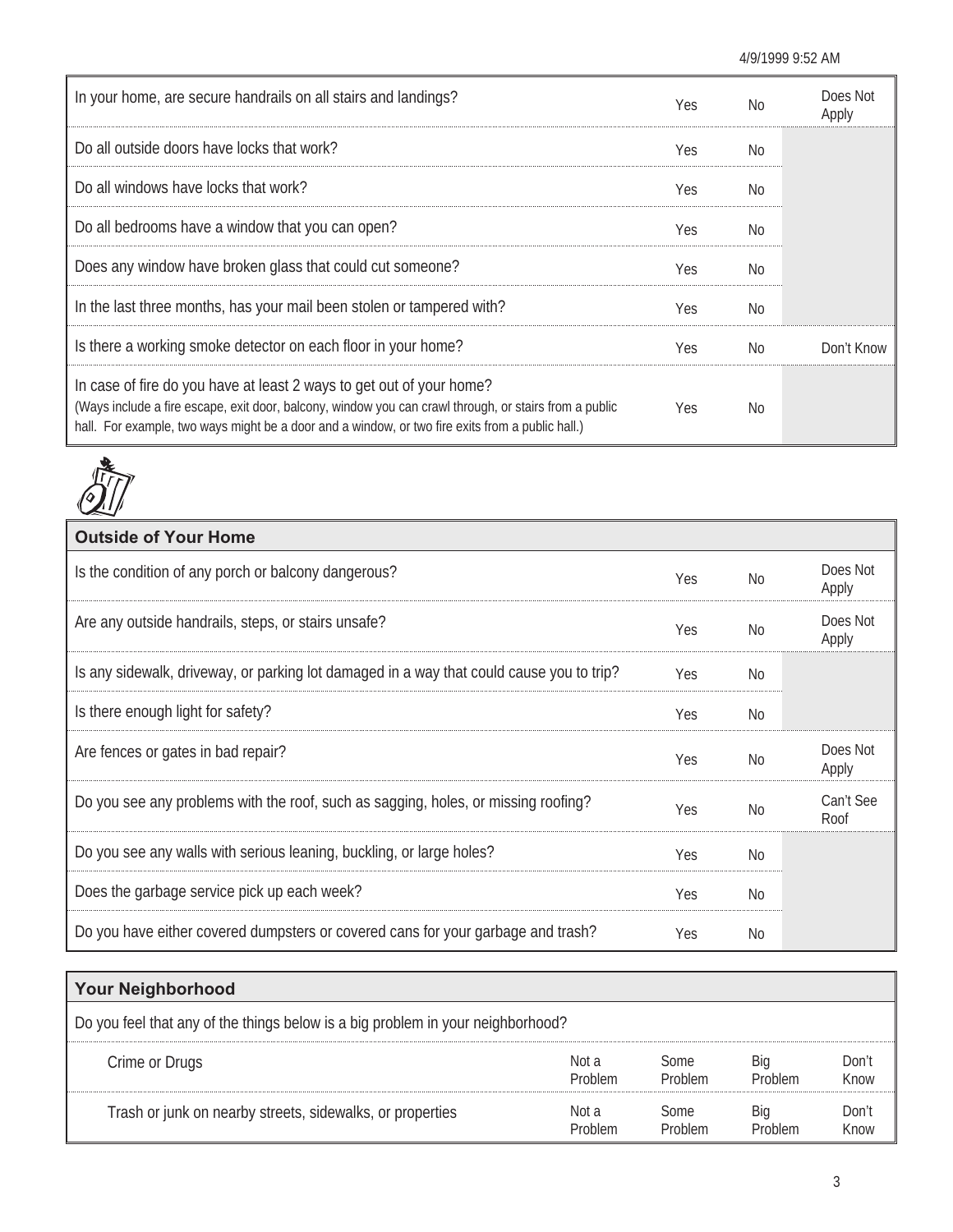| In your home, are secure handrails on all stairs and landings?                                                                                                                                                                                                                     | Yes | No             | Does Not<br>Apply |
|------------------------------------------------------------------------------------------------------------------------------------------------------------------------------------------------------------------------------------------------------------------------------------|-----|----------------|-------------------|
| Do all outside doors have locks that work?                                                                                                                                                                                                                                         | Yes | No.            |                   |
| Do all windows have locks that work?                                                                                                                                                                                                                                               | Yes | No.            |                   |
| Do all bedrooms have a window that you can open?                                                                                                                                                                                                                                   | Yes | No.            |                   |
| Does any window have broken glass that could cut someone?                                                                                                                                                                                                                          | Yes | No.            |                   |
| In the last three months, has your mail been stolen or tampered with?                                                                                                                                                                                                              | Yes | N <sub>0</sub> |                   |
| Is there a working smoke detector on each floor in your home?                                                                                                                                                                                                                      | Yes | No.            | Don't Know        |
| In case of fire do you have at least 2 ways to get out of your home?<br>(Ways include a fire escape, exit door, balcony, window you can crawl through, or stairs from a public<br>hall. For example, two ways might be a door and a window, or two fire exits from a public hall.) | Yes | No.            |                   |



| <b>Outside of Your Home</b>                                                              |            |                |                   |
|------------------------------------------------------------------------------------------|------------|----------------|-------------------|
| Is the condition of any porch or balcony dangerous?                                      | Yes        | No             | Does Not<br>Apply |
| Are any outside handrails, steps, or stairs unsafe?                                      | Yes        | No             | Does Not<br>Apply |
| Is any sidewalk, driveway, or parking lot damaged in a way that could cause you to trip? | Yes        | No             |                   |
| Is there enough light for safety?                                                        | Yes        | No             |                   |
| Are fences or gates in bad repair?                                                       | Yes        | N <sub>0</sub> | Does Not<br>Apply |
| Do you see any problems with the roof, such as sagging, holes, or missing roofing?       | <b>Yes</b> | No             | Can't See<br>Roof |
| Do you see any walls with serious leaning, buckling, or large holes?                     | Yes        | No.            |                   |
| Does the garbage service pick up each week?                                              | Yes        | No             |                   |
| Do you have either covered dumpsters or covered cans for your garbage and trash?         | Yes        | N <sub>0</sub> |                   |

| <b>Your Neighborhood</b>                                                        |                  |                 |  |               |  |  |  |  |
|---------------------------------------------------------------------------------|------------------|-----------------|--|---------------|--|--|--|--|
| Do you feel that any of the things below is a big problem in your neighborhood? |                  |                 |  |               |  |  |  |  |
| Crime or Drugs                                                                  | Not a<br>Problem | Some<br>Problem |  | Don't<br>Know |  |  |  |  |
| Trash or junk on nearby streets, sidewalks, or properties                       | Not a            | some            |  | Don't<br>Know |  |  |  |  |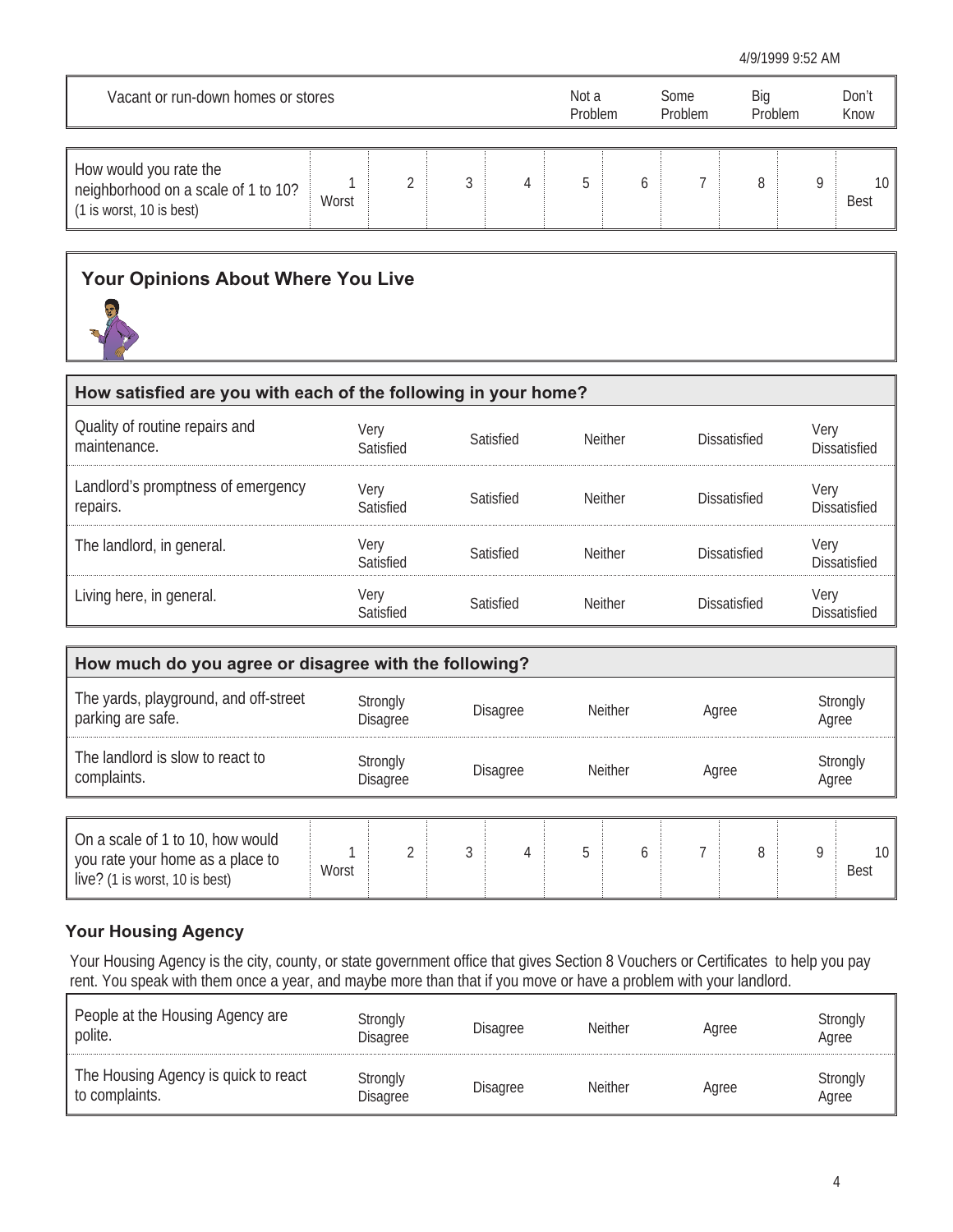| Vacant or run-down homes or stores                                                        |       |  |  | Not a<br>Problem | Some<br>Problem | Big<br>Problem | Don't<br>Know |                   |
|-------------------------------------------------------------------------------------------|-------|--|--|------------------|-----------------|----------------|---------------|-------------------|
| How would you rate the<br>neighborhood on a scale of 1 to 10?<br>(1 is worst, 10 is best) | Worst |  |  |                  |                 |                |               | 10<br><b>Best</b> |

## **Your Opinions About Where You Live**



| How satisfied are you with each of the following in your home? |                   |           |                |                     |                                    |  |  |  |  |
|----------------------------------------------------------------|-------------------|-----------|----------------|---------------------|------------------------------------|--|--|--|--|
| Quality of routine repairs and<br>maintenance.                 | Very<br>atisfied: | Satisfied | <b>Neither</b> | Dissatisfied        | <b>Very</b><br><b>Dissatisfied</b> |  |  |  |  |
| Landlord's promptness of emergency<br>repairs.                 | Very<br>Satisfied | Satisfied | <b>Neither</b> | Dissatisfied        | Very<br>Dissatisfied               |  |  |  |  |
| The landlord, in general.                                      |                   | Satisfied | <b>Neither</b> | <b>Dissatisfied</b> | Very<br>Niccatisfied               |  |  |  |  |
| Living here, in general.                                       | verv              | Satisfied | <b>Neither</b> | <b>Dissatisfied</b> | Very<br><b>Dissatisfied</b>        |  |  |  |  |

| How much do you agree or disagree with the following?                                                  |                      |  |                 |                 |                |                |       |       |                   |                                |  |
|--------------------------------------------------------------------------------------------------------|----------------------|--|-----------------|-----------------|----------------|----------------|-------|-------|-------------------|--------------------------------|--|
| The yards, playground, and off-street<br>parking are safe.                                             | Strongly<br>Disagree |  | <b>Disagree</b> |                 | <b>Neither</b> |                | Agree |       | Strongly<br>Agree |                                |  |
| The landlord is slow to react to<br>complaints.                                                        | Strongly<br>Disagree |  |                 | <b>Disagree</b> |                | <b>Neither</b> |       | Agree |                   | Strongly<br>Agree              |  |
| On a scale of 1 to 10, how would<br>you rate your home as a place to<br>live? (1 is worst, 10 is best) | Worst                |  | 3               |                 | 5              | h              |       | 8     | q                 | 10 <sup>°</sup><br><b>Best</b> |  |

## **Your Housing Agency**

Your Housing Agency is the city, county, or state government office that gives Section 8 Vouchers or Certificates to help you pay rent. You speak with them once a year, and maybe more than that if you move or have a problem with your landlord.

| People at the Housing Agency are<br>polite.            | Strongly<br><b>Disagree</b> | <b>Disagree</b> | <b>Neither</b> | Agree | Strongly<br>Agree |
|--------------------------------------------------------|-----------------------------|-----------------|----------------|-------|-------------------|
| The Housing Agency is quick to react<br>to complaints. | Strongly<br>Disagree        | Disagree        | <b>Neither</b> | Agree | Strongly<br>Agree |